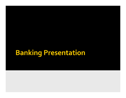# **Banking Presentation**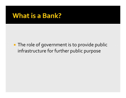### **What is a Bank?**

**The role of government is to provide public** infrastructure for further public purpose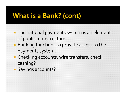- **The national payments system is an element** of public infrastructure.
- **Banking functions to provide access to the** payments system.
- **Checking accounts, wire transfers, check** cashing?
- **Savings accounts?**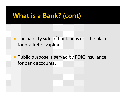- **The liability side of banking is not the place** for market discipline
- **Public purpose is served by FDIC insurance** for bank accounts.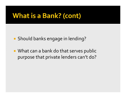Should banks engage in lending?

**What can a bank do that serves public** purpose that private lenders can't do?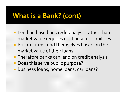- **Lending based on credit analysis rather than** market value requires govt. insured liabilities
- $\blacksquare$  Private firms fund themselves based on the market value of their loans
- **Therefore banks can lend on credit analysis**
- **Does this serve public purpose?**
- **Business loans, home loans, car loans?**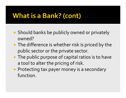- **Should banks be publicly owned or privately** owned?
- $\blacksquare$  The difference is whether risk is priced by the public sector or the private sector.
- **The public purpose of capital ratios is to have** a tool to alter the pricing of risk.
- **Protecting tax payer money is a secondary** function.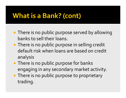- **There is no public purpose served by allowing** banks to sell their loans.
- **There is no public purpose in selling credit** default risk when loans are based on credit analysis
- **There is no public purpose for banks** engaging in any secondary market activity.
- **There is no public purpose to proprietary** trading.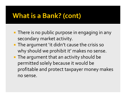- **There is no public purpose in engaging in any** secondary market activity.
- **The argument 'it didn't cause the crisis so** why should we prohibit it' makes no sense.
- $\blacksquare$  The argument that an activity should be permitted solely because it would be profitable and protect taxpayer money makes no sense.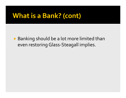Banking should be a lot more limited than even restoring Glass ‐Steagall implies.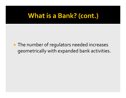### **The number of regulators needed increases** geometrically with expanded bank activities.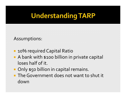# **Understanding TARP**

#### Assumptions:

- **10% required Capital Ratio**
- A bank with \$100 billion in private capital loses half of it.
- **Only \$50 billion in capital remains.**
- **The Government does not want to shut it** down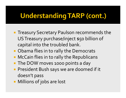- **Treasury Secretary Paulson recommends the** USTreasury purchase/inject \$50 billion of capital into the troubled bank.
- **Obama flies in to rally the Democrats**
- **McCain flies in to rally the Republicans**
- **The DOW moves 1000 points a day**
- **President Bush says we are doomed if it** doesn't pass
- **Millions of jobs are lost**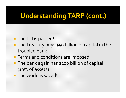### **The bill is passed!**

- **The Treasury buys \$50 billion of capital in the** troubled bank
- **Terms and conditions are imposed**
- **The bank again has \$100 billion of capital** (10% of assets)
- **The world is saved!**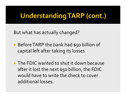But what has actually changed?

- **Before TARP the bank had \$50 billion of** capital left after taking its losses
- **The FDIC wanted to shut it down because** after it lost the next \$50 billion, the FDIC would have to write the check to cover additional losses.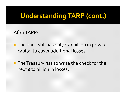AfterTARP:

- **The bank still has only \$50 billion in private** capital to cover additional losses.
- **The Treasury has to write the check for the** next \$50 billion in losses.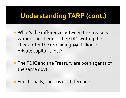- **What's the difference between the Treasury** writing the check or the FDIC writing the check after the remaining \$50 billion of private capital is lost?
- **The FDIC and the Treasury are both agents of** the same govt.
- **Functionally, there is no difference.**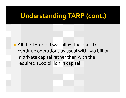$\blacksquare$  All the TARP did was allow the bank to continue operations as usual with \$50 billion in private capital rather than with the required \$100 billion in capital.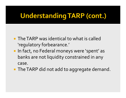- **The TARP was identical to what is called** 'regulatory forbearance.'
- **In fact, no Federal moneys were 'spent' as** banks are not liquidity constrained in any case.
- **The TARP did not add to aggregate demand.**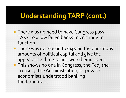- **There was no need to have Congress pass** TARP to allow failed banks to continue to function
- **There was no reason to expend the enormous** amounts of political capital and give the appearance that \$billion were being spent.
- **This shows no one in Congress, the Fed, the** Treasury, the Administration, or private economists understood banking fundamentals.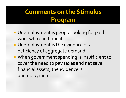- **Unemployment is people looking for paid** work who can't find it.
- **Unemployment is the evidence of a** deficiency of aggregate demand.
- **When government spending is insufficient to** cover the need to pay taxes and net save financial assets, the evidence is unemployment.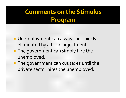- **Unemployment can always be quickly** eliminated by a fiscal adjustment.
- **The government can simply hire the** unemployed.
- **The government can cut taxes until the** private sector hires the unemployed.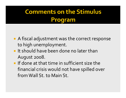- **A** fiscal adjustment was the correct response to high unemployment.
- **If should have been done no later than** August 2008.
- $\blacksquare$  If done at that time in sufficient size the financial crisis would not have spilled over fromWall St. to Main St.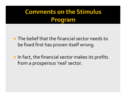## **Comments on the Stimulus** Program

- **The belief that the financial sector needs to** be fixed first has proven itself wrong.
- **IF In fact, the financial sector makes its profits** from <sup>a</sup> prosperous 'real' sector.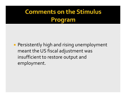### **Program**

**• Persistently high and rising unemployment** meant the US fiscal adjustment was insufficient to restore output an d employment.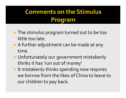- **The stimulus program turned out to be too** little too late.
- A further adjustment can be made at any time.
- **Unfortunately our government mistakenly** thinks it has 'run out of money'
- **If mistakenly thinks spending now requires** we borrow from the likes of China to leave to our children to pay back.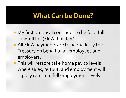### **What Can be Done?**

- **My first proposal continues to be for a full** "payroll tax (FICA) holiday"
- **All FICA payments are to be made by the** Treasury on behalf of all employees and employers.
- **This will restore take home pay to levels** w here sales, output, an d employment will rapidly return to full employment levels.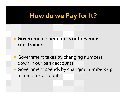## How do we Pay for It?

### **Government spending is not revenue constrained**

- **Government taxes by changing numbers** down in our bank accounts.
- **Government spends by changing numbers up** in our bank accounts.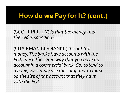## How do we Pay for It? (cont.)

(SCOTT PELLEY) *Is that tax money that the Fed is spending?*

(CHAIRMAN BERNANKE) *It's not tax money.The banks have accounts with the Fed, much the same way that you have an account in <sup>a</sup> commercial bank. So, to lend to a bank, we simply use the computer to mark up the size of the account that they have with the Fed.*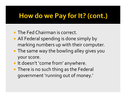## How do we Pay for It? (cont.)

- **The Fed Chairman is correct.**
- **All Federal spending is done simply by** marking numbers up with their computer.
- **The same way the bowling alley gives you** your score.
- **If doesn't 'come from' anywhere.**
- **There is no such thing as the Federal** governmen<sup>t</sup> 'running out of money.'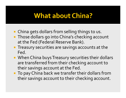## **What about China?**

- **China gets dollars from selling things to us.**
- **Those dollars go into China's checking account** at the Fed (Federal Reserve Bank).
- **Treasury securities are savings accounts at the** Fed.
- **When China buys Treasury securities their dollars** are transferred from their checking account to their savings account at the Fed.
- **To pay China back we transfer their dollars from** their savings account to their checking account.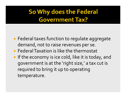## So Why does the Federal **Government Tax?**

- **Federal taxes function to regulate aggregate** demand, not to raise revenues per se.
- **Federal Taxation is like the thermostat**
- **If the economy is ice cold, like it is today, and** governmen<sup>t</sup> is at the 'right size,' <sup>a</sup> tax cut is required to bring it up to operating temperature.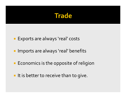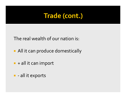## **Trade (cont.)**

The real wealth of our nation is:

- **All it can produce domestically**
- $\blacksquare$  + all it can import
- - all it exports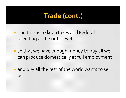## **Trade (cont.)**

- **The trick is to keep taxes and Federal** spending at the right level
- so that we have enough money to buy all we can produce domestically at full employment
- **and buy all the rest of the world wants to sell** us.